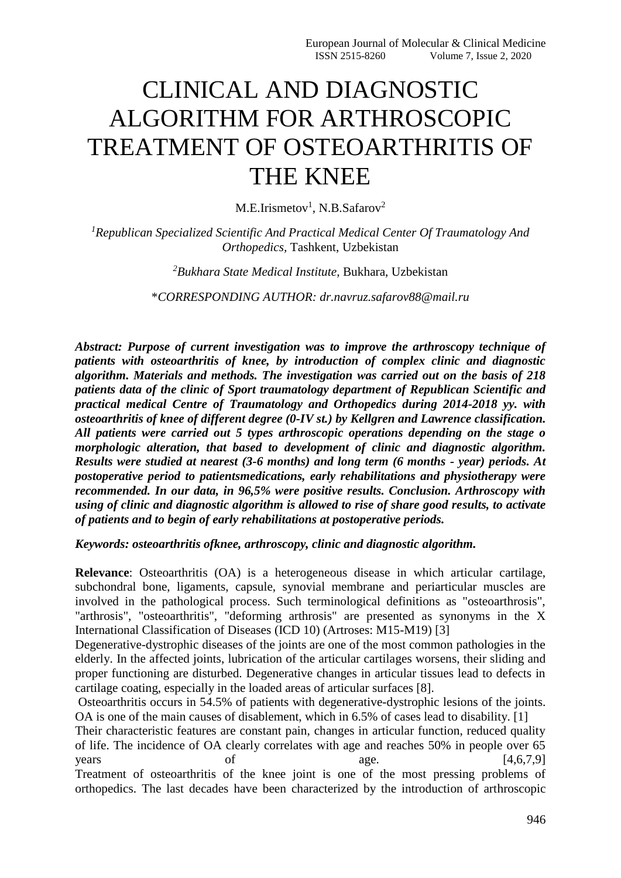# CLINICAL AND DIAGNOSTIC ALGORITHM FOR ARTHROSCOPIC TREATMENT OF OSTEOARTHRITIS OF THE KNEE

 $M.E.Irismetov<sup>1</sup>, N.B.Safarov<sup>2</sup>$ 

*<sup>1</sup>Republican Specialized Scientific And Practical Medical Center Of Traumatology And Orthopedics,* Tashkent, Uzbekistan

*<sup>2</sup>Bukhara State Medical Institute,* Bukhara, Uzbekistan

\**CORRESPONDING AUTHOR: dr.navruz.safarov88@mail.ru*

*Abstract: Purpose of current investigation was to improve the arthroscopy technique of patients with osteoarthritis of knee, by introduction of complex clinic and diagnostic algorithm. Materials and methods. The investigation was carried out on the basis of 218 patients data of the clinic of Sport traumatology department of Republican Scientific and practical medical Centre of Traumatology and Orthopedics during 2014-2018 yy. with osteoarthritis of knee of different degree (0-IV st.) by Kellgren and Lawrence classification. All patients were carried out 5 types arthroscopic operations depending on the stage o morphologic alteration, that based to development of clinic and diagnostic algorithm. Results were studied at nearest (3-6 months) and long term (6 months - year) periods. At postoperative period to patientsmedications, early rehabilitations and physiotherapy were recommended. In our data, in 96,5% were positive results. Conclusion. Arthroscopy with using of clinic and diagnostic algorithm is allowed to rise of share good results, to activate of patients and to begin of early rehabilitations at postoperative periods.*

*Keywords: osteoarthritis ofknee, arthroscopy, clinic and diagnostic algorithm.*

**Relevance**: Osteoarthritis (OA) is a heterogeneous disease in which articular cartilage, subchondral bone, ligaments, capsule, synovial membrane and periarticular muscles are involved in the pathological process. Such terminological definitions as "osteoarthrosis", "arthrosis", "osteoarthritis", "deforming arthrosis" are presented as synonyms in the X International Classification of Diseases (ICD 10) (Artroses: M15-M19) [3]

Degenerative-dystrophic diseases of the joints are one of the most common pathologies in the elderly. In the affected joints, lubrication of the articular cartilages worsens, their sliding and proper functioning are disturbed. Degenerative changes in articular tissues lead to defects in cartilage coating, especially in the loaded areas of articular surfaces [8].

Osteoarthritis occurs in 54.5% of patients with degenerative-dystrophic lesions of the joints. OA is one of the main causes of disablement, which in 6.5% of cases lead to disability. [1]

Their characteristic features are constant pain, changes in articular function, reduced quality of life. The incidence of OA clearly correlates with age and reaches 50% in people over 65  $years$  of  $age.$  [4,6,7,9] Treatment of osteoarthritis of the knee joint is one of the most pressing problems of orthopedics. The last decades have been characterized by the introduction of arthroscopic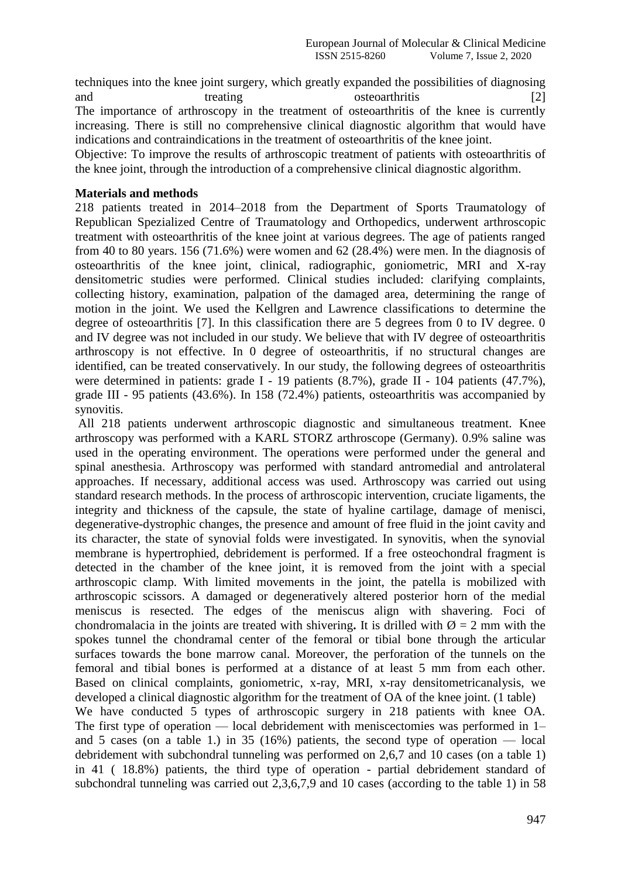techniques into the knee joint surgery, which greatly expanded the possibilities of diagnosing and treating osteoarthritis [2] The importance of arthroscopy in the treatment of osteoarthritis of the knee is currently increasing. There is still no comprehensive clinical diagnostic algorithm that would have indications and contraindications in the treatment of osteoarthritis of the knee joint.

Objective: To improve the results of arthroscopic treatment of patients with osteoarthritis of the knee joint, through the introduction of a comprehensive clinical diagnostic algorithm.

#### **Materials and methods**

218 patients treated in 2014–2018 from the Department of Sports Traumatology of Republican Spezialized Centre of Traumatology and Orthopedics, underwent arthroscopic treatment with osteoarthritis of the knee joint at various degrees. The age of patients ranged from 40 to 80 years. 156 (71.6%) were women and 62 (28.4%) were men. In the diagnosis of osteoarthritis of the knee joint, clinical, radiographic, goniometric, MRI and X-ray densitometric studies were performed. Clinical studies included: clarifying complaints, collecting history, examination, palpation of the damaged area, determining the range of motion in the joint. We used the Kellgren and Lawrence classifications to determine the degree of osteoarthritis [7]. In this classification there are 5 degrees from 0 to IV degree. 0 and IV degree was not included in our study. We believe that with IV degree of osteoarthritis arthroscopy is not effective. In 0 degree of osteoarthritis, if no structural changes are identified, can be treated conservatively. In our study, the following degrees of osteoarthritis were determined in patients: grade I - 19 patients (8.7%), grade II - 104 patients (47.7%), grade III - 95 patients (43.6%). In 158 (72.4%) patients, osteoarthritis was accompanied by synovitis.

All 218 patients underwent arthroscopic diagnostic and simultaneous treatment. Knee arthroscopy was performed with a KARL STORZ arthroscope (Germany). 0.9% saline was used in the operating environment. The operations were performed under the general and spinal anesthesia. Arthroscopy was performed with standard antromedial and antrolateral approaches. If necessary, additional access was used. Arthroscopy was carried out using standard research methods. In the process of arthroscopic intervention, cruciate ligaments, the integrity and thickness of the capsule, the state of hyaline cartilage, damage of menisci, degenerative-dystrophic changes, the presence and amount of free fluid in the joint cavity and its character, the state of synovial folds were investigated. In synovitis, when the synovial membrane is hypertrophied, debridement is performed. If a free osteochondral fragment is detected in the chamber of the knee joint, it is removed from the joint with a special arthroscopic clamp. With limited movements in the joint, the patella is mobilized with arthroscopic scissors. A damaged or degeneratively altered posterior horn of the medial meniscus is resected. The edges of the meniscus align with shavering. Foci of chondromalacia in the joints are treated with shivering. It is drilled with  $\varnothing = 2$  mm with the spokes tunnel the chondramal center of the femoral or tibial bone through the articular surfaces towards the bone marrow canal. Moreover, the perforation of the tunnels on the femoral and tibial bones is performed at a distance of at least 5 mm from each other. Based on clinical complaints, goniometric, x-ray, MRI, x-ray densitometricanalysis, we developed a clinical diagnostic algorithm for the treatment of OA of the knee joint. (1 table) We have conducted 5 types of arthroscopic surgery in 218 patients with knee OA. The first type of operation — local debridement with meniscectomies was performed in 1– and 5 cases (on a table 1.) in 35 (16%) patients, the second type of operation  $-$  local debridement with subchondral tunneling was performed on 2,6,7 and 10 cases (on a table 1) in 41 ( 18.8%) patients, the third type of operation - partial debridement standard of subchondral tunneling was carried out 2,3,6,7,9 and 10 cases (according to the table 1) in 58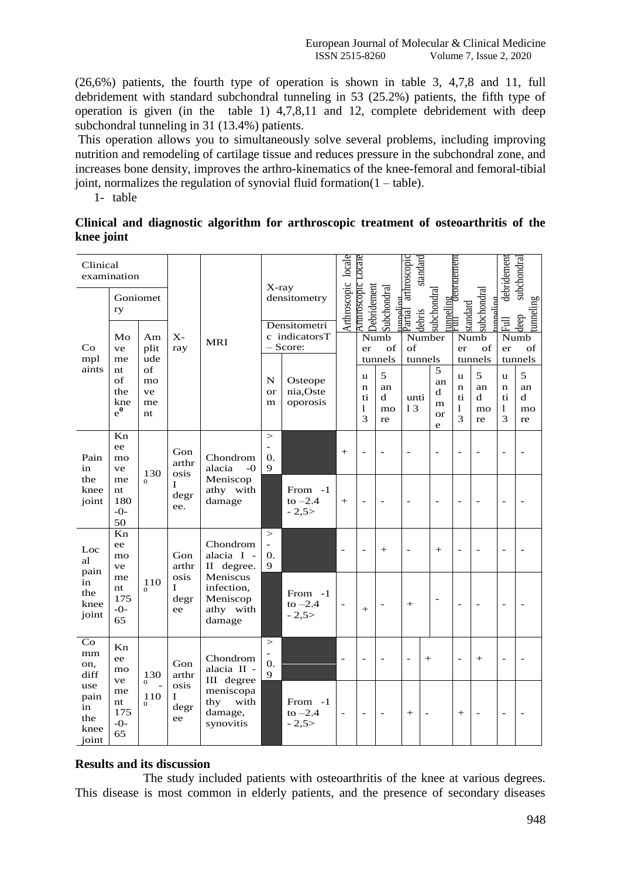$(26,6%)$  patients, the fourth type of operation is shown in table 3, 4,7,8 and 11, full debridement with standard subchondral tunneling in 53 (25.2%) patients, the fifth type of operation is given (in the table 1)  $4,7,8,11$  and 12, complete debridement with deep subchondral tunneling in 31 (13.4%) patients.

This operation allows you to simultaneously solve several problems, including improving nutrition and remodeling of cartilage tissue and reduces pressure in the subchondral zone, and increases bone density, improves the arthro-kinematics of the knee-femoral and femoral-tibial joint, normalizes the regulation of synovial fluid formation  $(1 - table)$ .

1- table

## Clinical and diagnostic algorithm for arthroscopic treatment of osteoarthritis of the knee joint

| Clinical<br>examination<br>Goniomet                                  |                                                        |                                                 |                                          |                                                                                                   | X-ray<br>densitometry     |                                  | Arthroscopic locale      | Arthroscopic Locale                         |                          | nmeling<br>Partial arthroscopic<br>standard |                          | <u>tunneling</u><br>Full depridement        |                          | subchondral<br>debridement              |                          |
|----------------------------------------------------------------------|--------------------------------------------------------|-------------------------------------------------|------------------------------------------|---------------------------------------------------------------------------------------------------|---------------------------|----------------------------------|--------------------------|---------------------------------------------|--------------------------|---------------------------------------------|--------------------------|---------------------------------------------|--------------------------|-----------------------------------------|--------------------------|
| Co<br>mpl<br>aints                                                   | ry                                                     |                                                 |                                          |                                                                                                   | Densitometri              |                                  |                          | Debridement<br>Subchondral                  |                          | subchondral<br>debris                       |                          | subchondral<br>مصامعه<br>standard           |                          | Full                                    | tunneling<br>deep        |
|                                                                      | Mo<br>ve<br>me<br>nt<br>of<br>the<br>kne<br>$e^0$      | Am<br>plit<br>ude<br>of<br>mo<br>ve<br>me<br>nt | $X -$<br>ray                             | <b>MRI</b>                                                                                        | c indicatorsT<br>- Score: |                                  |                          | Numb<br>of<br>er                            |                          | Number<br>of                                |                          | Numb<br>of<br>er                            |                          | Numb<br>of<br>er                        |                          |
|                                                                      |                                                        |                                                 |                                          |                                                                                                   |                           |                                  |                          | tunnels                                     |                          | tunnels<br>5                                |                          | tunnels                                     |                          | tunnels                                 |                          |
|                                                                      |                                                        |                                                 |                                          |                                                                                                   | N<br><b>or</b><br>m       | Osteope<br>nia, Oste<br>oporosis |                          | u<br>$\mathbf n$<br>ti<br>$\mathbf{1}$<br>3 | 5<br>an<br>d<br>mo<br>re | unti<br>13                                  | an<br>d<br>m<br>or<br>e  | u<br>$\mathbf n$<br>ti<br>$\mathbf{1}$<br>3 | 5<br>an<br>d<br>mo<br>re | <b>u</b><br>$\mathbf n$<br>ti<br>1<br>3 | 5<br>an<br>d<br>mo<br>re |
| Pain<br>in<br>the<br>knee<br>joint                                   | Kn<br>ee<br>mo<br>ve<br>me<br>nt<br>180<br>$-0-$<br>50 | 130<br>$\Omega$                                 | Gon<br>arthr<br>osis<br>T<br>degr<br>ee. | Chondrom<br>alacia<br>$-0$<br>Meniscop<br>athy with<br>damage                                     | $\geq$<br>0.<br>9         |                                  | $+$                      | $\overline{\phantom{0}}$                    |                          |                                             | $\overline{\phantom{m}}$ | $\overline{\phantom{0}}$                    | $\overline{a}$           | $\overline{\phantom{m}}$                | $\overline{a}$           |
|                                                                      |                                                        |                                                 |                                          |                                                                                                   |                           | From -1<br>to $-2.4$<br>$-2,5>$  | $+$                      | $\overline{a}$                              |                          |                                             | $\overline{a}$           | $\overline{a}$                              |                          | $\overline{\phantom{0}}$                |                          |
| Loc<br>al<br>pain<br>in<br>the<br>knee<br>joint                      | Kn<br>ee<br>mo<br>ve<br>me<br>nt<br>175<br>$-0-$<br>65 | 110<br>$\Omega$                                 | Gon<br>arthr<br>osis<br>L<br>degr<br>ee  | Chondrom<br>alacia I -<br>II degree.<br>Meniscus<br>infection,<br>Meniscop<br>athy with<br>damage | $\geq$<br>0.<br>9         |                                  | $\overline{\phantom{a}}$ | $\overline{a}$                              | $^{+}$                   |                                             | $+$                      | $\overline{a}$                              | $\overline{a}$           | $\overline{\phantom{a}}$                |                          |
|                                                                      |                                                        |                                                 |                                          |                                                                                                   |                           | From -1<br>to $-2.4$<br>$-2,5>$  | $\overline{\phantom{a}}$ | $+$                                         |                          | $^{+}$                                      | $\overline{a}$           | $\overline{a}$                              |                          | $\overline{\phantom{a}}$                |                          |
| Co<br>mm<br>on,<br>diff<br>use<br>pain<br>in<br>the<br>knee<br>joint | Kn<br>ee<br>mo<br>ve<br>me<br>nt<br>175<br>$-0-$<br>65 | 130<br>$\mathbf{0}$<br>110<br>$\Omega$          | Gon<br>arthr<br>osis<br>I<br>degr<br>ee  | Chondrom<br>alacia II -<br>III degree<br>meniscopa<br>with<br>thy<br>damage,<br>synovitis         | ><br>0.<br>$\mathbf Q$    |                                  |                          | $\overline{a}$                              |                          |                                             | $^{+}$                   | $\overline{a}$                              | $^{+}$                   | $\overline{\phantom{a}}$                |                          |
|                                                                      |                                                        |                                                 |                                          |                                                                                                   |                           | From -1<br>to $-2.4$<br>$-2,5>$  |                          | $\overline{\phantom{0}}$                    |                          | $^{+}$                                      |                          | $^{+}$                                      |                          | $\overline{\phantom{0}}$                |                          |

### **Results and its discussion**

The study included patients with osteoarthritis of the knee at various degrees. This disease is most common in elderly patients, and the presence of secondary diseases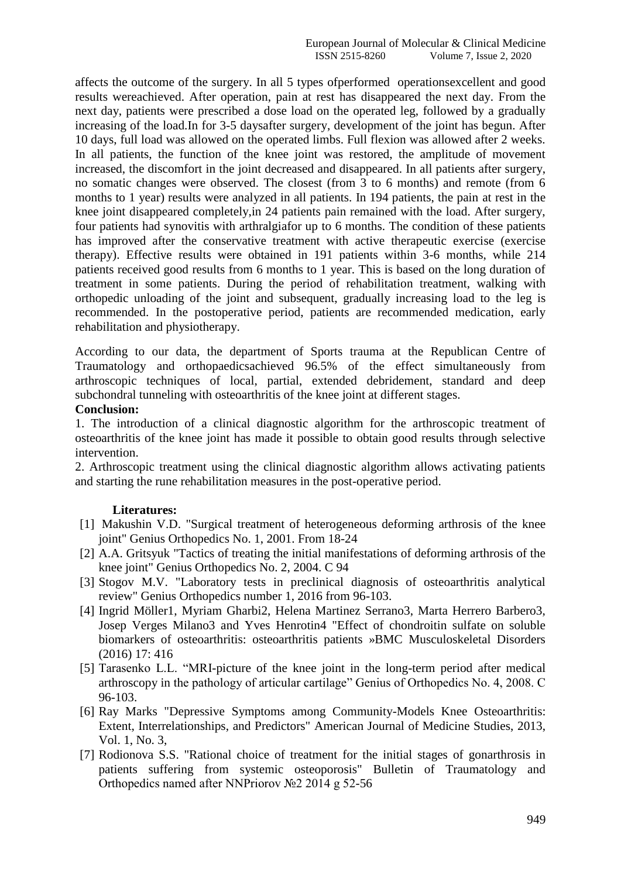affects the outcome of the surgery. In all 5 types ofperformed operationsexcellent and good results wereachieved. After operation, pain at rest has disappeared the next day. From the next day, patients were prescribed a dose load on the operated leg, followed by a gradually increasing of the load.In for 3-5 daysafter surgery, development of the joint has begun. After 10 days, full load was allowed on the operated limbs. Full flexion was allowed after 2 weeks. In all patients, the function of the knee joint was restored, the amplitude of movement increased, the discomfort in the joint decreased and disappeared. In all patients after surgery, no somatic changes were observed. The closest (from 3 to 6 months) and remote (from 6 months to 1 year) results were analyzed in all patients. In 194 patients, the pain at rest in the knee joint disappeared completely,in 24 patients pain remained with the load. After surgery, four patients had synovitis with arthralgiafor up to 6 months. The condition of these patients has improved after the conservative treatment with active therapeutic exercise (exercise therapy). Effective results were obtained in 191 patients within 3-6 months, while 214 patients received good results from 6 months to 1 year. This is based on the long duration of treatment in some patients. During the period of rehabilitation treatment, walking with orthopedic unloading of the joint and subsequent, gradually increasing load to the leg is recommended. In the postoperative period, patients are recommended medication, early rehabilitation and physiotherapy.

According to our data, the department of Sports trauma at the Republican Centre of Traumatology and orthopaedicsachieved 96.5% of the effect simultaneously from arthroscopic techniques of local, partial, extended debridement, standard and deep subchondral tunneling with osteoarthritis of the knee joint at different stages.

### **Conclusion:**

1. The introduction of a clinical diagnostic algorithm for the arthroscopic treatment of osteoarthritis of the knee joint has made it possible to obtain good results through selective intervention.

2. Arthroscopic treatment using the clinical diagnostic algorithm allows activating patients and starting the rune rehabilitation measures in the post-operative period.

### **Literatures:**

- [1] Makushin V.D. "Surgical treatment of heterogeneous deforming arthrosis of the knee joint" Genius Orthopedics No. 1, 2001. From 18-24
- [2] A.A. Gritsyuk "Tactics of treating the initial manifestations of deforming arthrosis of the knee joint" Genius Orthopedics No. 2, 2004. C 94
- [3] Stogov M.V. "Laboratory tests in preclinical diagnosis of osteoarthritis analytical review" Genius Orthopedics number 1, 2016 from 96-103.
- [4] Ingrid Möller1, Myriam Gharbi2, Helena Martinez Serrano3, Marta Herrero Barbero3, Josep Verges Milano3 and Yves Henrotin4 "Effect of chondroitin sulfate on soluble biomarkers of osteoarthritis: osteoarthritis patients »BMC Musculoskeletal Disorders (2016) 17: 416
- [5] Tarasenko L.L. "MRI-picture of the knee joint in the long-term period after medical arthroscopy in the pathology of articular cartilage" Genius of Orthopedics No. 4, 2008. C 96-103.
- [6] Ray Marks "Depressive Symptoms among Community-Models Knee Osteoarthritis: Extent, Interrelationships, and Predictors" American Journal of Medicine Studies, 2013, Vol. 1, No. 3,
- [7] Rodionova S.S. "Rational choice of treatment for the initial stages of gonarthrosis in patients suffering from systemic osteoporosis" Bulletin of Traumatology and Orthopedics named after NNPriorov №2 2014 g 52-56